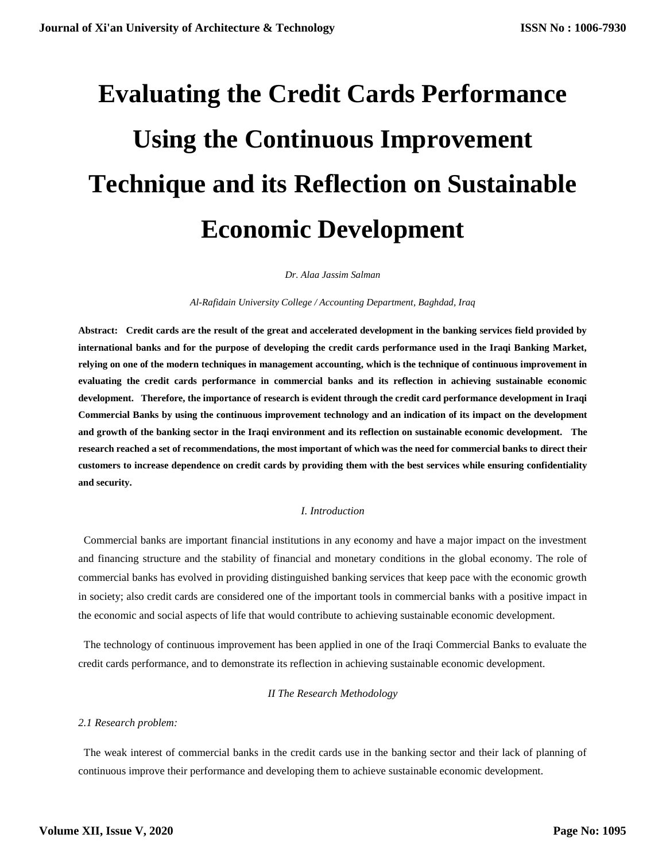# **Evaluating the Credit Cards Performance Using the Continuous Improvement Technique and its Reflection on Sustainable Economic Development**

*Dr. Alaa Jassim Salman*

*Al-Rafidain University College / Accounting Department, Baghdad, Iraq*

**Abstract: Credit cards are the result of the great and accelerated development in the banking services field provided by international banks and for the purpose of developing the credit cards performance used in the Iraqi Banking Market, relying on one of the modern techniques in management accounting, which is the technique of continuous improvement in evaluating the credit cards performance in commercial banks and its reflection in achieving sustainable economic development. Therefore, the importance of research is evident through the credit card performance development in Iraqi Commercial Banks by using the continuous improvement technology and an indication of its impact on the development and growth of the banking sector in the Iraqi environment and its reflection on sustainable economic development. The research reached a set of recommendations, the most important of which was the need for commercial banks to direct their customers to increase dependence on credit cards by providing them with the best services while ensuring confidentiality and security.**

# *I. Introduction*

Commercial banks are important financial institutions in any economy and have a major impact on the investment and financing structure and the stability of financial and monetary conditions in the global economy. The role of commercial banks has evolved in providing distinguished banking services that keep pace with the economic growth in society; also credit cards are considered one of the important tools in commercial banks with a positive impact in the economic and social aspects of life that would contribute to achieving sustainable economic development.

 The technology of continuous improvement has been applied in one of the Iraqi Commercial Banks to evaluate the credit cards performance, and to demonstrate its reflection in achieving sustainable economic development.

# *II The Research Methodology*

# *2.1 Research problem:*

 The weak interest of commercial banks in the credit cards use in the banking sector and their lack of planning of continuous improve their performance and developing them to achieve sustainable economic development.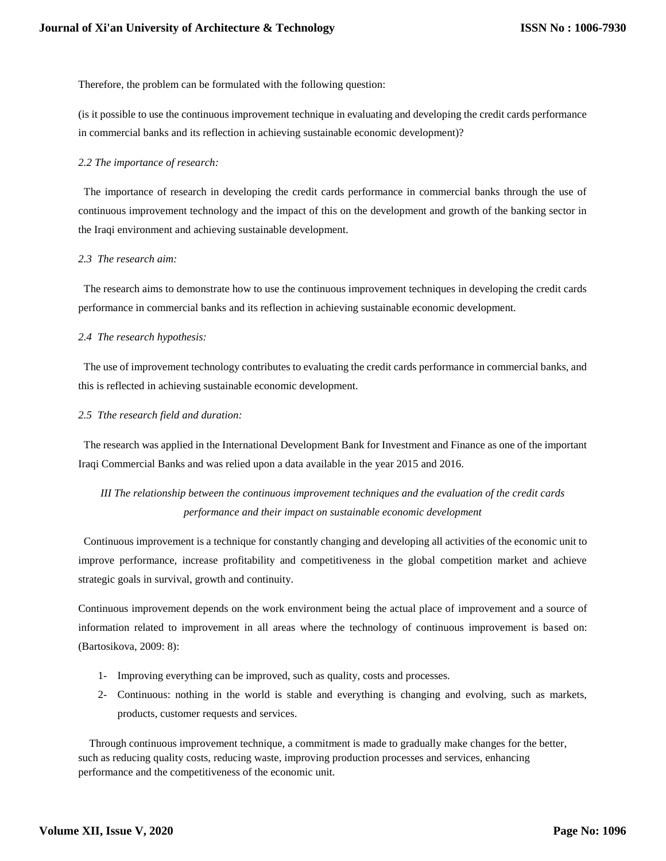Therefore, the problem can be formulated with the following question:

(is it possible to use the continuous improvement technique in evaluating and developing the credit cards performance in commercial banks and its reflection in achieving sustainable economic development)?

#### *2.2 The importance of research:*

 The importance of research in developing the credit cards performance in commercial banks through the use of continuous improvement technology and the impact of this on the development and growth of the banking sector in the Iraqi environment and achieving sustainable development.

#### *2.3 The research aim:*

 The research aims to demonstrate how to use the continuous improvement techniques in developing the credit cards performance in commercial banks and its reflection in achieving sustainable economic development.

# *2.4 The research hypothesis:*

 The use of improvement technology contributes to evaluating the credit cards performance in commercial banks, and this is reflected in achieving sustainable economic development.

#### *2.5 Tthe research field and duration:*

 The research was applied in the International Development Bank for Investment and Finance as one of the important Iraqi Commercial Banks and was relied upon a data available in the year 2015 and 2016.

# *III The relationship between the continuous improvement techniques and the evaluation of the credit cards performance and their impact on sustainable economic development*

 Continuous improvement is a technique for constantly changing and developing all activities of the economic unit to improve performance, increase profitability and competitiveness in the global competition market and achieve strategic goals in survival, growth and continuity.

Continuous improvement depends on the work environment being the actual place of improvement and a source of information related to improvement in all areas where the technology of continuous improvement is based on: (Bartosikova, 2009: 8):

- 1- Improving everything can be improved, such as quality, costs and processes.
- 2- Continuous: nothing in the world is stable and everything is changing and evolving, such as markets, products, customer requests and services.

 Through continuous improvement technique, a commitment is made to gradually make changes for the better, such as reducing quality costs, reducing waste, improving production processes and services, enhancing performance and the competitiveness of the economic unit.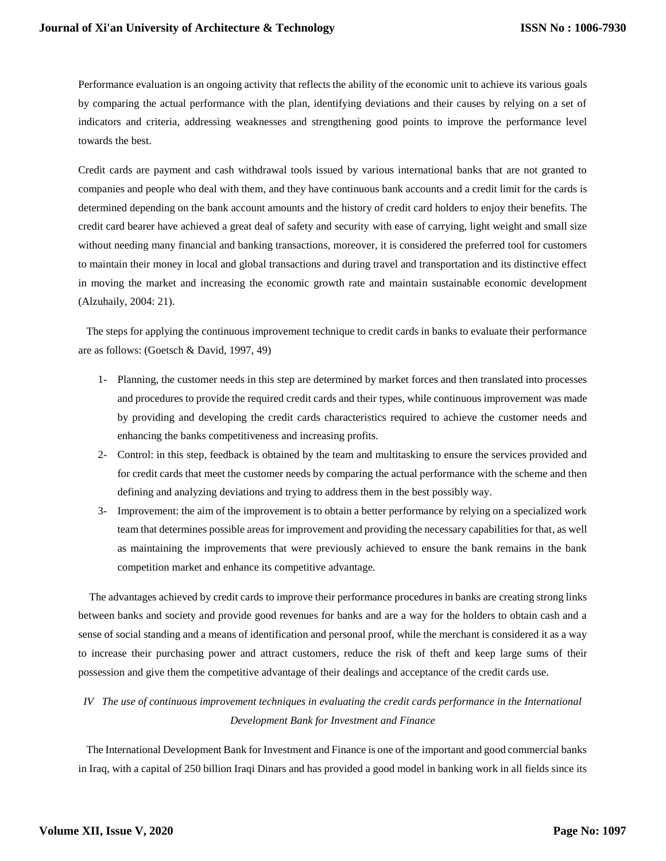Performance evaluation is an ongoing activity that reflects the ability of the economic unit to achieve its various goals by comparing the actual performance with the plan, identifying deviations and their causes by relying on a set of indicators and criteria, addressing weaknesses and strengthening good points to improve the performance level towards the best.

Credit cards are payment and cash withdrawal tools issued by various international banks that are not granted to companies and people who deal with them, and they have continuous bank accounts and a credit limit for the cards is determined depending on the bank account amounts and the history of credit card holders to enjoy their benefits. The credit card bearer have achieved a great deal of safety and security with ease of carrying, light weight and small size without needing many financial and banking transactions, moreover, it is considered the preferred tool for customers to maintain their money in local and global transactions and during travel and transportation and its distinctive effect in moving the market and increasing the economic growth rate and maintain sustainable economic development (Alzuhaily, 2004: 21).

 The steps for applying the continuous improvement technique to credit cards in banks to evaluate their performance are as follows: (Goetsch & David, 1997, 49)

- 1- Planning, the customer needs in this step are determined by market forces and then translated into processes and procedures to provide the required credit cards and their types, while continuous improvement was made by providing and developing the credit cards characteristics required to achieve the customer needs and enhancing the banks competitiveness and increasing profits.
- 2- Control: in this step, feedback is obtained by the team and multitasking to ensure the services provided and for credit cards that meet the customer needs by comparing the actual performance with the scheme and then defining and analyzing deviations and trying to address them in the best possibly way.
- 3- Improvement: the aim of the improvement is to obtain a better performance by relying on a specialized work team that determines possible areas for improvement and providing the necessary capabilities for that, as well as maintaining the improvements that were previously achieved to ensure the bank remains in the bank competition market and enhance its competitive advantage.

 The advantages achieved by credit cards to improve their performance procedures in banks are creating strong links between banks and society and provide good revenues for banks and are a way for the holders to obtain cash and a sense of social standing and a means of identification and personal proof, while the merchant is considered it as a way to increase their purchasing power and attract customers, reduce the risk of theft and keep large sums of their possession and give them the competitive advantage of their dealings and acceptance of the credit cards use.

# *IV The use of continuous improvement techniques in evaluating the credit cards performance in the International Development Bank for Investment and Finance*

 The International Development Bank for Investment and Finance is one of the important and good commercial banks in Iraq, with a capital of 250 billion Iraqi Dinars and has provided a good model in banking work in all fields since its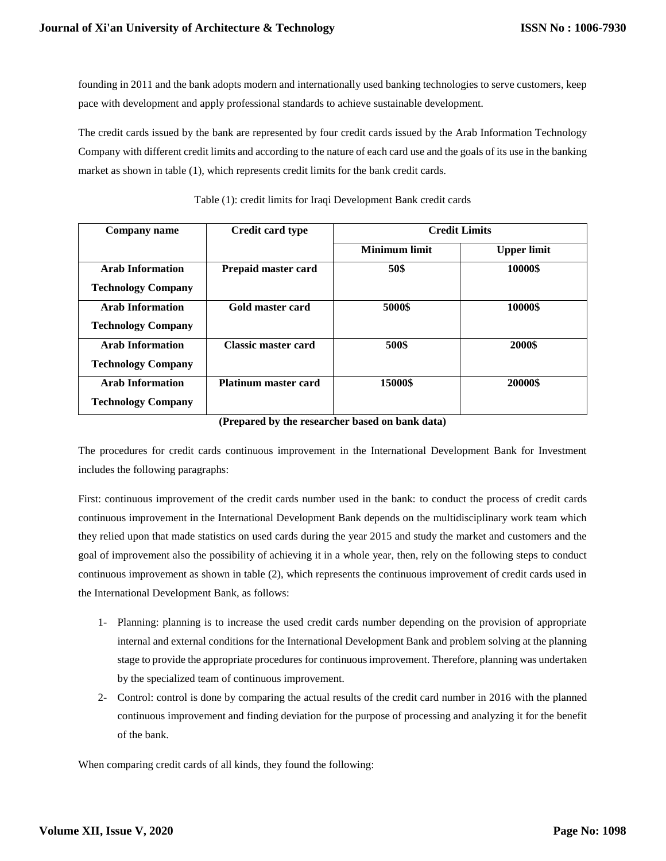founding in 2011 and the bank adopts modern and internationally used banking technologies to serve customers, keep pace with development and apply professional standards to achieve sustainable development.

The credit cards issued by the bank are represented by four credit cards issued by the Arab Information Technology Company with different credit limits and according to the nature of each card use and the goals of its use in the banking market as shown in table (1), which represents credit limits for the bank credit cards.

| Company name              | Credit card type            | <b>Credit Limits</b> |                    |
|---------------------------|-----------------------------|----------------------|--------------------|
|                           |                             | <b>Minimum limit</b> | <b>Upper limit</b> |
| <b>Arab Information</b>   | Prepaid master card         | 50\$                 | 10000\$            |
| <b>Technology Company</b> |                             |                      |                    |
| <b>Arab Information</b>   | Gold master card            | 5000\$               | 10000\$            |
| <b>Technology Company</b> |                             |                      |                    |
| <b>Arab Information</b>   | Classic master card         | 500\$                | 2000\$             |
| <b>Technology Company</b> |                             |                      |                    |
| <b>Arab Information</b>   | <b>Platinum master card</b> | 15000\$              | 20000\$            |
| <b>Technology Company</b> |                             |                      |                    |

Table (1): credit limits for Iraqi Development Bank credit cards

**(Prepared by the researcher based on bank data)**

The procedures for credit cards continuous improvement in the International Development Bank for Investment includes the following paragraphs:

First: continuous improvement of the credit cards number used in the bank: to conduct the process of credit cards continuous improvement in the International Development Bank depends on the multidisciplinary work team which they relied upon that made statistics on used cards during the year 2015 and study the market and customers and the goal of improvement also the possibility of achieving it in a whole year, then, rely on the following steps to conduct continuous improvement as shown in table (2), which represents the continuous improvement of credit cards used in the International Development Bank, as follows:

- 1- Planning: planning is to increase the used credit cards number depending on the provision of appropriate internal and external conditions for the International Development Bank and problem solving at the planning stage to provide the appropriate procedures for continuous improvement. Therefore, planning was undertaken by the specialized team of continuous improvement.
- 2- Control: control is done by comparing the actual results of the credit card number in 2016 with the planned continuous improvement and finding deviation for the purpose of processing and analyzing it for the benefit of the bank.

When comparing credit cards of all kinds, they found the following: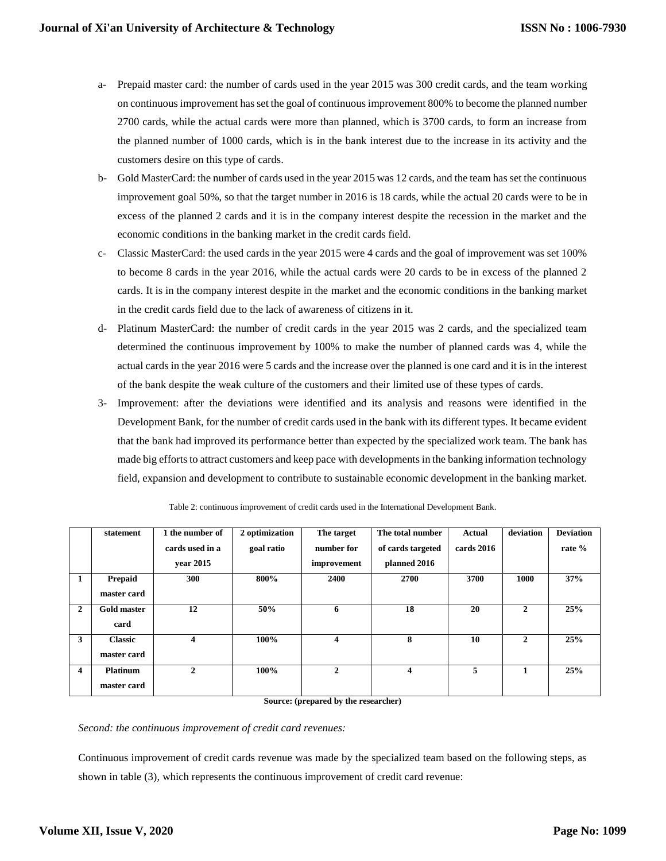- a- Prepaid master card: the number of cards used in the year 2015 was 300 credit cards, and the team working on continuous improvement has set the goal of continuous improvement 800% to become the planned number 2700 cards, while the actual cards were more than planned, which is 3700 cards, to form an increase from the planned number of 1000 cards, which is in the bank interest due to the increase in its activity and the customers desire on this type of cards.
- b- Gold MasterCard: the number of cards used in the year 2015 was 12 cards, and the team has set the continuous improvement goal 50%, so that the target number in 2016 is 18 cards, while the actual 20 cards were to be in excess of the planned 2 cards and it is in the company interest despite the recession in the market and the economic conditions in the banking market in the credit cards field.
- c- Classic MasterCard: the used cards in the year 2015 were 4 cards and the goal of improvement was set 100% to become 8 cards in the year 2016, while the actual cards were 20 cards to be in excess of the planned 2 cards. It is in the company interest despite in the market and the economic conditions in the banking market in the credit cards field due to the lack of awareness of citizens in it.
- d- Platinum MasterCard: the number of credit cards in the year 2015 was 2 cards, and the specialized team determined the continuous improvement by 100% to make the number of planned cards was 4, while the actual cards in the year 2016 were 5 cards and the increase over the planned is one card and it is in the interest of the bank despite the weak culture of the customers and their limited use of these types of cards.
- 3- Improvement: after the deviations were identified and its analysis and reasons were identified in the Development Bank, for the number of credit cards used in the bank with its different types. It became evident that the bank had improved its performance better than expected by the specialized work team. The bank has made big efforts to attract customers and keep pace with developments in the banking information technology field, expansion and development to contribute to sustainable economic development in the banking market.

|                         | statement                      | 1 the number of<br>cards used in a<br>vear 2015 | 2 optimization<br>goal ratio | The target<br>number for<br>improvement | The total number<br>of cards targeted<br>planned 2016 | Actual<br>cards 2016 | deviation    | <b>Deviation</b><br>rate % |
|-------------------------|--------------------------------|-------------------------------------------------|------------------------------|-----------------------------------------|-------------------------------------------------------|----------------------|--------------|----------------------------|
| 1                       | Prepaid<br>master card         | 300                                             | 800%                         | 2400                                    | 2700                                                  | 3700                 | 1000         | 37%                        |
| $\overline{2}$          | <b>Gold master</b><br>card     | 12                                              | 50%                          | 6                                       | 18                                                    | 20                   | $\mathbf{2}$ | 25%                        |
| 3                       | <b>Classic</b><br>master card  | 4                                               | 100%                         | $\overline{\mathbf{4}}$                 | 8                                                     | 10                   | $\mathbf{2}$ | 25%                        |
| $\overline{\mathbf{4}}$ | <b>Platinum</b><br>master card | $\overline{2}$                                  | 100%                         | $\mathbf{2}$                            | $\overline{\mathbf{4}}$                               | 5                    | 1            | 25%                        |

Table 2: continuous improvement of credit cards used in the International Development Bank.

**Source: (prepared by the researcher)**

*Second: the continuous improvement of credit card revenues:*

Continuous improvement of credit cards revenue was made by the specialized team based on the following steps, as shown in table (3), which represents the continuous improvement of credit card revenue: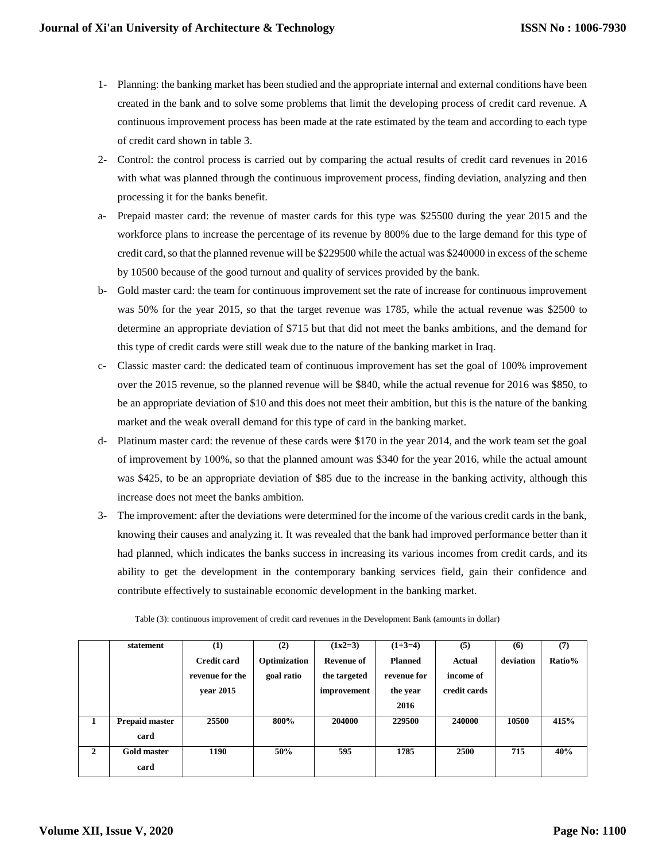- 1- Planning: the banking market has been studied and the appropriate internal and external conditions have been created in the bank and to solve some problems that limit the developing process of credit card revenue. A continuous improvement process has been made at the rate estimated by the team and according to each type of credit card shown in table 3.
- 2- Control: the control process is carried out by comparing the actual results of credit card revenues in 2016 with what was planned through the continuous improvement process, finding deviation, analyzing and then processing it for the banks benefit.
- a- Prepaid master card: the revenue of master cards for this type was \$25500 during the year 2015 and the workforce plans to increase the percentage of its revenue by 800% due to the large demand for this type of credit card, so that the planned revenue will be \$229500 while the actual was \$240000 in excess of the scheme by 10500 because of the good turnout and quality of services provided by the bank.
- b- Gold master card: the team for continuous improvement set the rate of increase for continuous improvement was 50% for the year 2015, so that the target revenue was 1785, while the actual revenue was \$2500 to determine an appropriate deviation of \$715 but that did not meet the banks ambitions, and the demand for this type of credit cards were still weak due to the nature of the banking market in Iraq.
- c- Classic master card: the dedicated team of continuous improvement has set the goal of 100% improvement over the 2015 revenue, so the planned revenue will be \$840, while the actual revenue for 2016 was \$850, to be an appropriate deviation of \$10 and this does not meet their ambition, but this is the nature of the banking market and the weak overall demand for this type of card in the banking market.
- d- Platinum master card: the revenue of these cards were \$170 in the year 2014, and the work team set the goal of improvement by 100%, so that the planned amount was \$340 for the year 2016, while the actual amount was \$425, to be an appropriate deviation of \$85 due to the increase in the banking activity, although this increase does not meet the banks ambition.
- 3- The improvement: after the deviations were determined for the income of the various credit cards in the bank, knowing their causes and analyzing it. It was revealed that the bank had improved performance better than it had planned, which indicates the banks success in increasing its various incomes from credit cards, and its ability to get the development in the contemporary banking services field, gain their confidence and contribute effectively to sustainable economic development in the banking market.

|              | statement             | (1)                | (2)          | $(1x2=3)$         | $(1+3=4)$      | (5)          | (6)       | (7)    |
|--------------|-----------------------|--------------------|--------------|-------------------|----------------|--------------|-----------|--------|
|              |                       | <b>Credit card</b> | Optimization | <b>Revenue of</b> | <b>Planned</b> | Actual       | deviation | Ratio% |
|              |                       | revenue for the    | goal ratio   | the targeted      | revenue for    | income of    |           |        |
|              |                       | vear 2015          |              | improvement       | the year       | credit cards |           |        |
|              |                       |                    |              |                   | 2016           |              |           |        |
| 1            | <b>Prepaid master</b> | 25500              | 800%         | 204000            | 229500         | 240000       | 10500     | 415%   |
|              | card                  |                    |              |                   |                |              |           |        |
| $\mathbf{2}$ | Gold master           | 1190               | 50%          | 595               | 1785           | 2500         | 715       | 40%    |
|              | card                  |                    |              |                   |                |              |           |        |

Table (3): continuous improvement of credit card revenues in the Development Bank (amounts in dollar)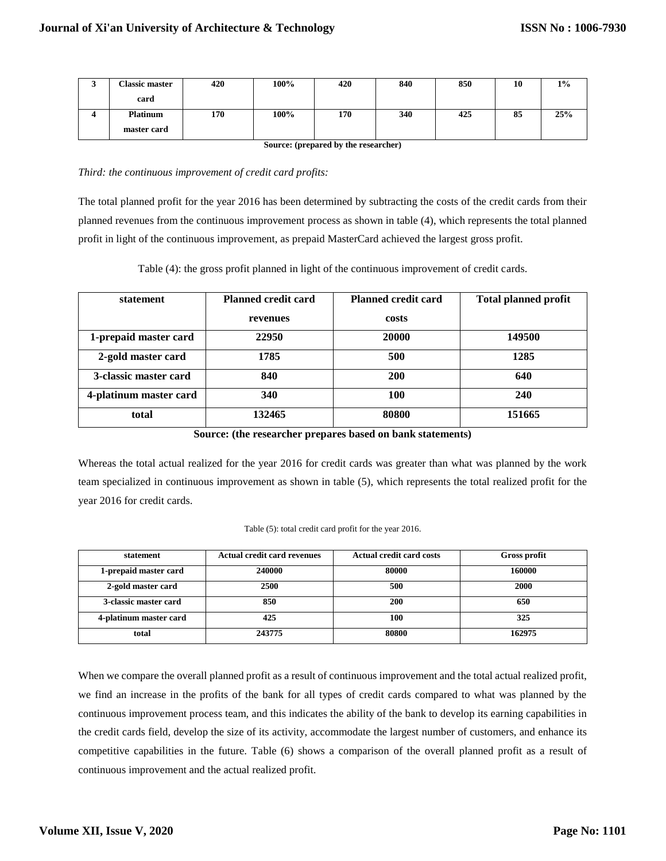|                                      | <b>Classic master</b> | 420 | 100% | 420 | 840 | 850 | 10 | $1\%$ |
|--------------------------------------|-----------------------|-----|------|-----|-----|-----|----|-------|
|                                      | card                  |     |      |     |     |     |    |       |
|                                      | <b>Platinum</b>       | 170 | 100% | 170 | 340 | 425 | 85 | 25%   |
|                                      | master card           |     |      |     |     |     |    |       |
| Source: (prepared by the researcher) |                       |     |      |     |     |     |    |       |

*Third: the continuous improvement of credit card profits:*

The total planned profit for the year 2016 has been determined by subtracting the costs of the credit cards from their planned revenues from the continuous improvement process as shown in table (4), which represents the total planned profit in light of the continuous improvement, as prepaid MasterCard achieved the largest gross profit.

Table (4): the gross profit planned in light of the continuous improvement of credit cards.

| statement              | <b>Planned credit card</b> | <b>Planned credit card</b> | <b>Total planned profit</b> |  |
|------------------------|----------------------------|----------------------------|-----------------------------|--|
|                        | revenues                   | costs                      |                             |  |
| 1-prepaid master card  | 22950                      | 20000                      | 149500                      |  |
| 2-gold master card     | 1785                       | 500                        | 1285                        |  |
| 3-classic master card  | 840                        | 200                        | 640                         |  |
| 4-platinum master card | 340                        | 100                        | 240                         |  |
| total                  | 132465                     | 80800                      | 151665                      |  |

**Source: (the researcher prepares based on bank statements)**

Whereas the total actual realized for the year 2016 for credit cards was greater than what was planned by the work team specialized in continuous improvement as shown in table (5), which represents the total realized profit for the year 2016 for credit cards.

| Table (5): total credit card profit for the year 2016. |  |  |
|--------------------------------------------------------|--|--|
|                                                        |  |  |

| statement              | <b>Actual credit card revenues</b> | <b>Actual credit card costs</b> | <b>Gross profit</b> |
|------------------------|------------------------------------|---------------------------------|---------------------|
| 1-prepaid master card  | 240000                             | 80000                           | 160000              |
| 2-gold master card     | 2500                               | 500                             | 2000                |
| 3-classic master card  | 850                                | 200                             | 650                 |
| 4-platinum master card | 425                                | 100                             | 325                 |
| total                  | 243775                             | 80800                           | 162975              |

When we compare the overall planned profit as a result of continuous improvement and the total actual realized profit, we find an increase in the profits of the bank for all types of credit cards compared to what was planned by the continuous improvement process team, and this indicates the ability of the bank to develop its earning capabilities in the credit cards field, develop the size of its activity, accommodate the largest number of customers, and enhance its competitive capabilities in the future. Table (6) shows a comparison of the overall planned profit as a result of continuous improvement and the actual realized profit.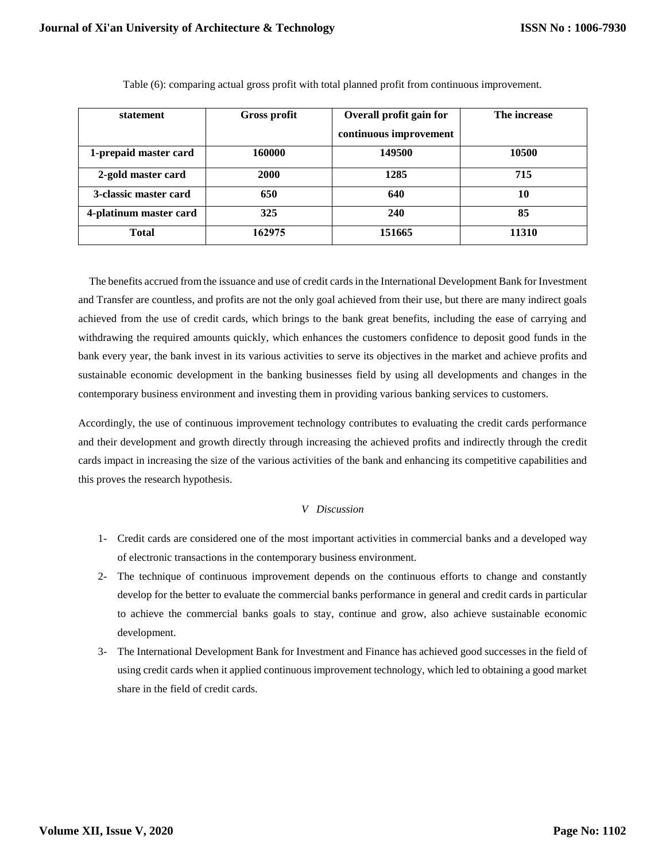| statement              | <b>Gross profit</b> | Overall profit gain for | The increase |
|------------------------|---------------------|-------------------------|--------------|
|                        |                     | continuous improvement  |              |
| 1-prepaid master card  | 160000              | 149500                  | 10500        |
| 2-gold master card     | <b>2000</b>         | 1285                    | 715          |
| 3-classic master card  | 650                 | 640                     | 10           |
| 4-platinum master card | 325                 | 240                     | 85           |
| <b>Total</b>           | 162975              | 151665                  | 11310        |

Table (6): comparing actual gross profit with total planned profit from continuous improvement.

 The benefits accrued from the issuance and use of credit cards in the International Development Bank for Investment and Transfer are countless, and profits are not the only goal achieved from their use, but there are many indirect goals achieved from the use of credit cards, which brings to the bank great benefits, including the ease of carrying and withdrawing the required amounts quickly, which enhances the customers confidence to deposit good funds in the bank every year, the bank invest in its various activities to serve its objectives in the market and achieve profits and sustainable economic development in the banking businesses field by using all developments and changes in the contemporary business environment and investing them in providing various banking services to customers.

Accordingly, the use of continuous improvement technology contributes to evaluating the credit cards performance and their development and growth directly through increasing the achieved profits and indirectly through the credit cards impact in increasing the size of the various activities of the bank and enhancing its competitive capabilities and this proves the research hypothesis.

# *V Discussion*

- 1- Credit cards are considered one of the most important activities in commercial banks and a developed way of electronic transactions in the contemporary business environment.
- 2- The technique of continuous improvement depends on the continuous efforts to change and constantly develop for the better to evaluate the commercial banks performance in general and credit cards in particular to achieve the commercial banks goals to stay, continue and grow, also achieve sustainable economic development.
- 3- The International Development Bank for Investment and Finance has achieved good successes in the field of using credit cards when it applied continuous improvement technology, which led to obtaining a good market share in the field of credit cards.